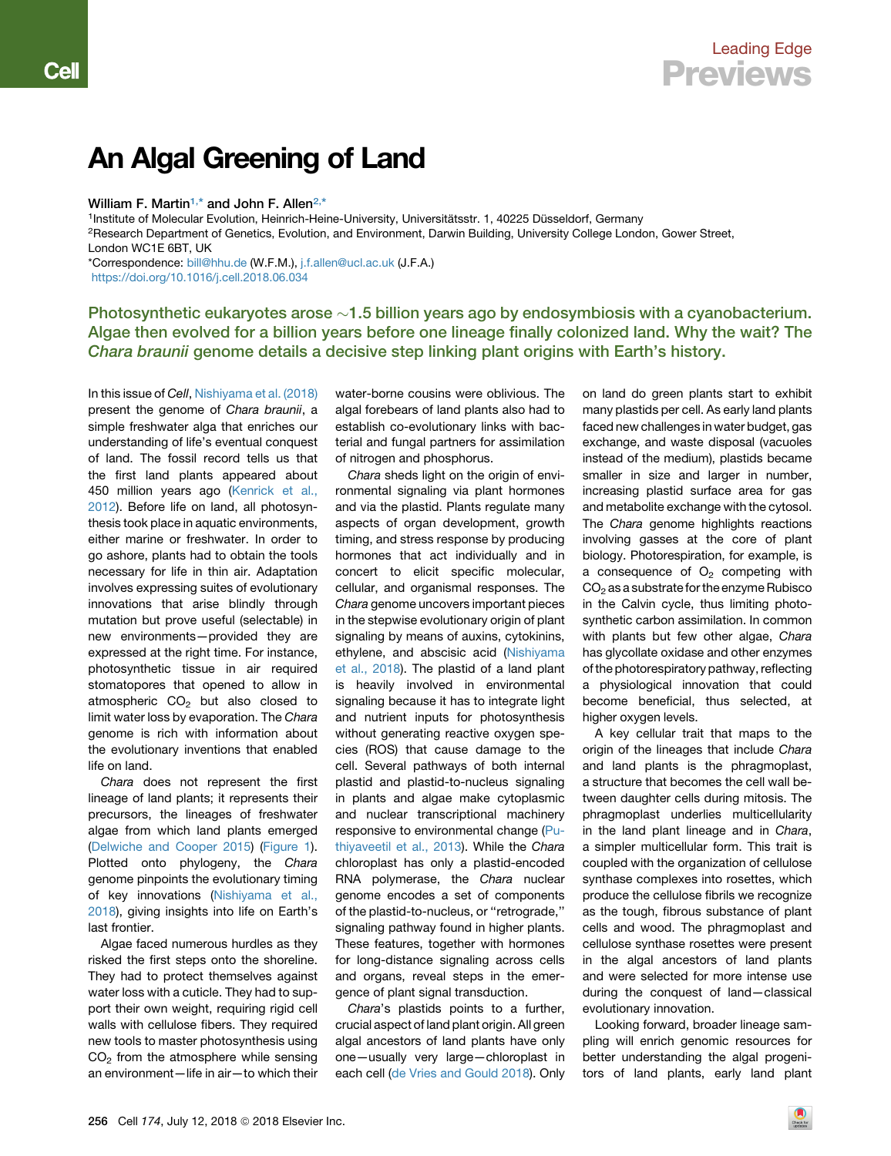## An Algal Greening of Land

## William F. Martin<sup>[1,](#page-0-0)\*</sup> and John F. Allen<sup>[2,](#page-0-1)[\\*](#page-0-2)</sup>

Cell

<span id="page-0-2"></span><span id="page-0-1"></span><span id="page-0-0"></span><sup>1</sup>Institute of Molecular Evolution, Heinrich-Heine-University, Universitätsstr. 1, 40225 Düsseldorf, Germany 2Research Department of Genetics, Evolution, and Environment, Darwin Building, University College London, Gower Street, London WC1E 6BT, UK \*Correspondence: [bill@hhu.de](mailto:bill@hhu.de) (W.F.M.), [j.f.allen@ucl.ac.uk](mailto:j.f.allen@ucl.ac.uk) (J.F.A.) <https://doi.org/10.1016/j.cell.2018.06.034>

Photosynthetic eukaryotes arose  $\sim$ 1.5 billion years ago by endosymbiosis with a cyanobacterium. Algae then evolved for a billion years before one lineage finally colonized land. Why the wait? The Chara braunii genome details a decisive step linking plant origins with Earth's history.

In this issue of *Cell*, [Nishiyama et al. \(2018\)](#page-2-0) present the genome of *Chara braunii*, a simple freshwater alga that enriches our understanding of life's eventual conquest of land. The fossil record tells us that the first land plants appeared about 450 million years ago [\(Kenrick et al.,](#page-2-1) [2012](#page-2-1)). Before life on land, all photosynthesis took place in aquatic environments, either marine or freshwater. In order to go ashore, plants had to obtain the tools necessary for life in thin air. Adaptation involves expressing suites of evolutionary innovations that arise blindly through mutation but prove useful (selectable) in new environments—provided they are expressed at the right time. For instance, photosynthetic tissue in air required stomatopores that opened to allow in atmospheric  $CO<sub>2</sub>$  but also closed to limit water loss by evaporation. The *Chara* genome is rich with information about the evolutionary inventions that enabled life on land.

*Chara* does not represent the first lineage of land plants; it represents their precursors, the lineages of freshwater algae from which land plants emerged ([Delwiche and Cooper 2015\)](#page-2-2) [\(Figure 1\)](#page-1-0). Plotted onto phylogeny, the *Chara* genome pinpoints the evolutionary timing of key innovations ([Nishiyama et al.,](#page-2-0) [2018](#page-2-0)), giving insights into life on Earth's last frontier.

Algae faced numerous hurdles as they risked the first steps onto the shoreline. They had to protect themselves against water loss with a cuticle. They had to support their own weight, requiring rigid cell walls with cellulose fibers. They required new tools to master photosynthesis using  $CO<sub>2</sub>$  from the atmosphere while sensing an environment—life in air—to which their water-borne cousins were oblivious. The algal forebears of land plants also had to establish co-evolutionary links with bacterial and fungal partners for assimilation of nitrogen and phosphorus.

*Chara* sheds light on the origin of environmental signaling via plant hormones and via the plastid. Plants regulate many aspects of organ development, growth timing, and stress response by producing hormones that act individually and in concert to elicit specific molecular, cellular, and organismal responses. The *Chara* genome uncovers important pieces in the stepwise evolutionary origin of plant signaling by means of auxins, cytokinins, ethylene, and abscisic acid [\(Nishiyama](#page-2-0) [et al., 2018](#page-2-0)). The plastid of a land plant is heavily involved in environmental signaling because it has to integrate light and nutrient inputs for photosynthesis without generating reactive oxygen species (ROS) that cause damage to the cell. Several pathways of both internal plastid and plastid-to-nucleus signaling in plants and algae make cytoplasmic and nuclear transcriptional machinery responsive to environmental change [\(Pu](#page-2-3)[thiyaveetil et al., 2013](#page-2-3)). While the *Chara* chloroplast has only a plastid-encoded RNA polymerase, the *Chara* nuclear genome encodes a set of components of the plastid-to-nucleus, or ''retrograde,'' signaling pathway found in higher plants. These features, together with hormones for long-distance signaling across cells and organs, reveal steps in the emergence of plant signal transduction.

*Chara*'s plastids points to a further, crucial aspect of land plant origin. All green algal ancestors of land plants have only one—usually very large—chloroplast in each cell [\(de Vries and Gould 2018\)](#page-2-4). Only

on land do green plants start to exhibit many plastids per cell. As early land plants faced new challenges in water budget, gas exchange, and waste disposal (vacuoles instead of the medium), plastids became smaller in size and larger in number, increasing plastid surface area for gas and metabolite exchange with the cytosol. The *Chara* genome highlights reactions involving gasses at the core of plant biology. Photorespiration, for example, is a consequence of  $O<sub>2</sub>$  competing with  $CO<sub>2</sub>$  as a substrate for the enzyme Rubisco in the Calvin cycle, thus limiting photosynthetic carbon assimilation. In common with plants but few other algae, *Chara* has glycollate oxidase and other enzymes of the photorespiratory pathway, reflecting a physiological innovation that could become beneficial, thus selected, at higher oxygen levels.

A key cellular trait that maps to the origin of the lineages that include *Chara* and land plants is the phragmoplast, a structure that becomes the cell wall between daughter cells during mitosis. The phragmoplast underlies multicellularity in the land plant lineage and in *Chara*, a simpler multicellular form. This trait is coupled with the organization of cellulose synthase complexes into rosettes, which produce the cellulose fibrils we recognize as the tough, fibrous substance of plant cells and wood. The phragmoplast and cellulose synthase rosettes were present in the algal ancestors of land plants and were selected for more intense use during the conquest of land—classical evolutionary innovation.

Looking forward, broader lineage sampling will enrich genomic resources for better understanding the algal progenitors of land plants, early land plant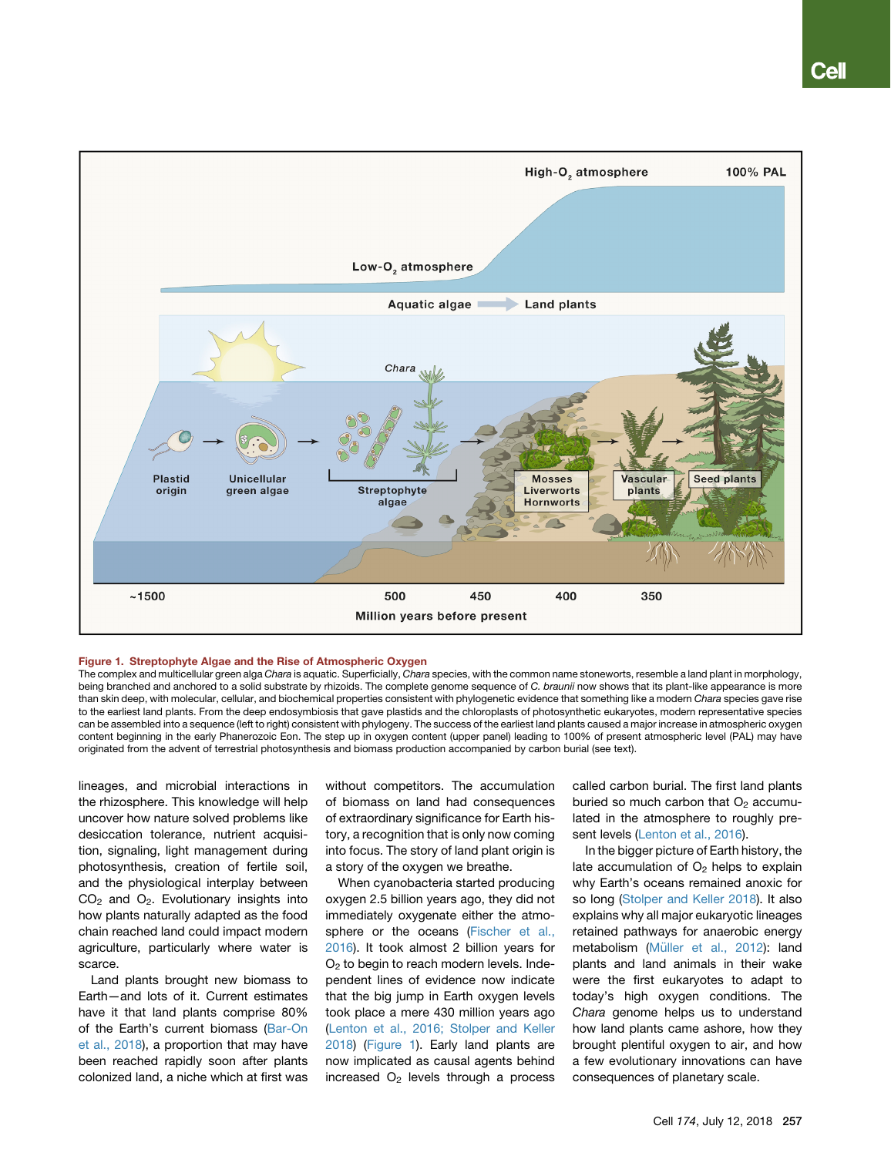<span id="page-1-0"></span>

## Figure 1. Streptophyte Algae and the Rise of Atmospheric Oxygen

The complex and multicellular green alga *Chara* is aquatic. Superficially, *Chara* species, with the common name stoneworts, resemble a land plant in morphology, being branched and anchored to a solid substrate by rhizoids. The complete genome sequence of *C. braunii* now shows that its plant-like appearance is more than skin deep, with molecular, cellular, and biochemical properties consistent with phylogenetic evidence that something like a modern *Chara* species gave rise to the earliest land plants. From the deep endosymbiosis that gave plastids and the chloroplasts of photosynthetic eukaryotes, modern representative species can be assembled into a sequence (left to right) consistent with phylogeny. The success of the earliest land plants caused a major increase in atmospheric oxygen content beginning in the early Phanerozoic Eon. The step up in oxygen content (upper panel) leading to 100% of present atmospheric level (PAL) may have originated from the advent of terrestrial photosynthesis and biomass production accompanied by carbon burial (see text).

lineages, and microbial interactions in the rhizosphere. This knowledge will help uncover how nature solved problems like desiccation tolerance, nutrient acquisition, signaling, light management during photosynthesis, creation of fertile soil, and the physiological interplay between  $CO<sub>2</sub>$  and  $O<sub>2</sub>$ . Evolutionary insights into how plants naturally adapted as the food chain reached land could impact modern agriculture, particularly where water is scarce.

Land plants brought new biomass to Earth—and lots of it. Current estimates have it that land plants comprise 80% of the Earth's current biomass ([Bar-On](#page-2-5) [et al., 2018](#page-2-5)), a proportion that may have been reached rapidly soon after plants colonized land, a niche which at first was without competitors. The accumulation of biomass on land had consequences of extraordinary significance for Earth history, a recognition that is only now coming into focus. The story of land plant origin is a story of the oxygen we breathe.

When cyanobacteria started producing oxygen 2.5 billion years ago, they did not immediately oxygenate either the atmosphere or the oceans [\(Fischer et al.,](#page-2-6) [2016](#page-2-6)). It took almost 2 billion years for  $O<sub>2</sub>$  to begin to reach modern levels. Independent lines of evidence now indicate that the big jump in Earth oxygen levels took place a mere 430 million years ago ([Lenton et al., 2016; Stolper and Keller](#page-2-7) [2018](#page-2-7)) [\(Figure 1\)](#page-1-0). Early land plants are now implicated as causal agents behind increased  $O<sub>2</sub>$  levels through a process

called carbon burial. The first land plants buried so much carbon that  $O<sub>2</sub>$  accumulated in the atmosphere to roughly present levels [\(Lenton et al., 2016\)](#page-2-7).

In the bigger picture of Earth history, the late accumulation of  $O<sub>2</sub>$  helps to explain why Earth's oceans remained anoxic for so long [\(Stolper and Keller 2018](#page-2-8)). It also explains why all major eukaryotic lineages retained pathways for anaerobic energy metabolism (Mü[ller et al., 2012\)](#page-2-9): land plants and land animals in their wake were the first eukaryotes to adapt to today's high oxygen conditions. The *Chara* genome helps us to understand how land plants came ashore, how they brought plentiful oxygen to air, and how a few evolutionary innovations can have consequences of planetary scale.